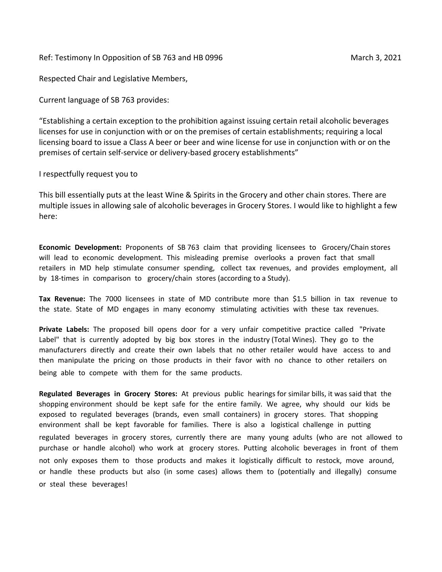Ref: Testimony In Opposition of SB 763 and HB 0996 March 3, 2021

Respected Chair and Legislative Members,

Current language of SB 763 provides:

"Establishing a certain exception to the prohibition against issuing certain retail alcoholic beverages licenses for use in conjunction with or on the premises of certain establishments; requiring a local licensing board to issue a Class A beer or beer and wine license for use in conjunction with or on the premises of certain self-service or delivery-based grocery establishments"

## I respectfully request you to

This bill essentially puts at the least Wine & Spirits in the Grocery and other chain stores. There are multiple issues in allowing sale of alcoholic beverages in Grocery Stores. I would like to highlight a few here:

**Economic Development:** Proponents of SB 763 claim that providing licensees to Grocery/Chain stores will lead to economic development. This misleading premise overlooks a proven fact that small retailers in MD help stimulate consumer spending, collect tax revenues, and provides employment, all by 18-times in comparison to grocery/chain stores (according to a Study).

**Tax Revenue:** The 7000 licensees in state of MD contribute more than \$1.5 billion in tax revenue to the state. State of MD engages in many economy stimulating activities with these tax revenues.

**Private Labels:** The proposed bill opens door for a very unfair competitive practice called "Private Label" that is currently adopted by big box stores in the industry (Total Wines). They go to the manufacturers directly and create their own labels that no other retailer would have access to and then manipulate the pricing on those products in their favor with no chance to other retailers on being able to compete with them for the same products.

**Regulated Beverages in Grocery Stores:** At previous public hearings for similar bills, it was said that the shopping environment should be kept safe for the entire family. We agree, why should our kids be exposed to regulated beverages (brands, even small containers) in grocery stores. That shopping environment shall be kept favorable for families. There is also a logistical challenge in putting regulated beverages in grocery stores, currently there are many young adults (who are not allowed to purchase or handle alcohol) who work at grocery stores. Putting alcoholic beverages in front of them not only exposes them to those products and makes it logistically difficult to restock, move around, or handle these products but also (in some cases) allows them to (potentially and illegally) consume or steal these beverages!